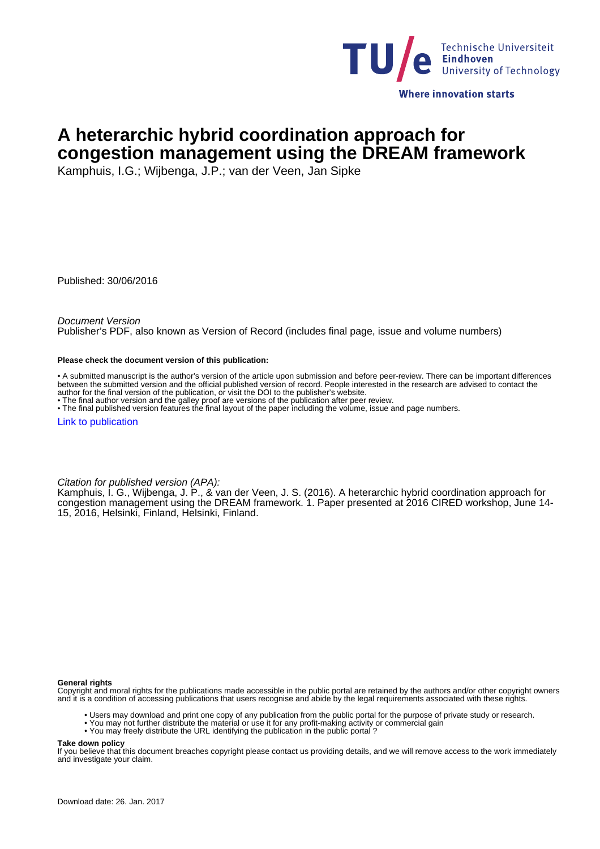

# **A heterarchic hybrid coordination approach for congestion management using the DREAM framework**

Kamphuis, I.G.; Wijbenga, J.P.; van der Veen, Jan Sipke

Published: 30/06/2016

Document Version

Publisher's PDF, also known as Version of Record (includes final page, issue and volume numbers)

#### **Please check the document version of this publication:**

• A submitted manuscript is the author's version of the article upon submission and before peer-review. There can be important differences between the submitted version and the official published version of record. People interested in the research are advised to contact the author for the final version of the publication, or visit the DOI to the publisher's website.

• The final author version and the galley proof are versions of the publication after peer review.

• The final published version features the final layout of the paper including the volume, issue and page numbers.

[Link to publication](https://pure.tue.nl/en/publications/a-heterarchic-hybrid-coordination-approach-for-congestion-management-using-the-dream-framework(8f32c3ad-9d18-40b2-97f8-c8ee099733a5).html)

Citation for published version (APA):

Kamphuis, I. G., Wijbenga, J. P., & van der Veen, J. S. (2016). A heterarchic hybrid coordination approach for congestion management using the DREAM framework. 1. Paper presented at 2016 CIRED workshop, June 14- 15, 2016, Helsinki, Finland, Helsinki, Finland.

**General rights**

Copyright and moral rights for the publications made accessible in the public portal are retained by the authors and/or other copyright owners and it is a condition of accessing publications that users recognise and abide by the legal requirements associated with these rights.

- Users may download and print one copy of any publication from the public portal for the purpose of private study or research.
- You may not further distribute the material or use it for any profit-making activity or commercial gain
	- You may freely distribute the URL identifying the publication in the public portal ?

**Take down policy**

If you believe that this document breaches copyright please contact us providing details, and we will remove access to the work immediately and investigate your claim.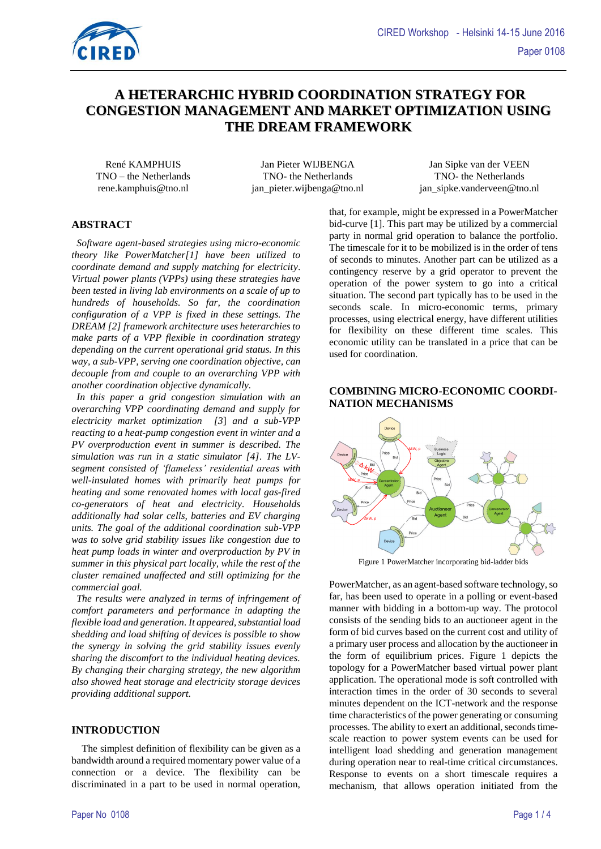

# **A HETERARCHIC HYBRID COORDINATION STRATEGY FOR CONGESTION MANAGEMENT AND MARKET OPTIMIZATION USING THE DREAM FRAMEWORK**

TNO – the Netherlands TNO- the Netherlands TNO- the Netherlands

René KAMPHUIS Jan Pieter WIJBENGA Jan Sipke van der VEEN rene.kamphuis@tno.nl jan\_pieter.wijbenga@tno.nl jan\_sipke.vanderveen@tno.nl

# **ABSTRACT**

 *Software agent-based strategies using micro-economic theory like PowerMatcher[1] have been utilized to coordinate demand and supply matching for electricity*. *Virtual power plants (VPPs) using these strategies have been tested in living lab environments on a scale of up to hundreds of households. So far, the coordination configuration of a VPP is fixed in these settings. The DREAM [\[2\]](#page-4-0) framework architecture uses heterarchies to make parts of a VPP flexible in coordination strategy depending on the current operational grid status. In this way, a sub-VPP, serving one coordination objective, can decouple from and couple to an overarching VPP with another coordination objective dynamically.*

 *In this paper a grid congestion simulation with an overarching VPP coordinating demand and supply for electricity market optimization [\[3](#page-4-1)*] *and a sub-VPP reacting to a heat-pump congestion event in winter and a PV overproduction event in summer is described. The simulation was run in a static simulator [\[4\].](#page-4-2) The LVsegment consisted of 'flameless' residential areas with well-insulated homes with primarily heat pumps for heating and some renovated homes with local gas-fired co-generators of heat and electricity. Households additionally had solar cells, batteries and EV charging units. The goal of the additional coordination sub-VPP was to solve grid stability issues like congestion due to heat pump loads in winter and overproduction by PV in summer in this physical part locally, while the rest of the cluster remained unaffected and still optimizing for the commercial goal.*

 *The results were analyzed in terms of infringement of comfort parameters and performance in adapting the flexible load and generation. It appeared,substantial load shedding and load shifting of devices is possible to show the synergy in solving the grid stability issues evenly sharing the discomfort to the individual heating devices. By changing their charging strategy, the new algorithm also showed heat storage and electricity storage devices providing additional support.* 

#### **INTRODUCTION**

 The simplest definition of flexibility can be given as a bandwidth around a required momentary power value of a connection or a device. The flexibility can be discriminated in a part to be used in normal operation,

that, for example, might be expressed in a PowerMatcher bid-curve [1]. This part may be utilized by a commercial party in normal grid operation to balance the portfolio. The timescale for it to be mobilized is in the order of tens of seconds to minutes. Another part can be utilized as a contingency reserve by a grid operator to prevent the operation of the power system to go into a critical situation. The second part typically has to be used in the seconds scale. In micro-economic terms, primary processes, using electrical energy, have different utilities for flexibility on these different time scales. This economic utility can be translated in a price that can be used for coordination.

# **COMBINING MICRO-ECONOMIC COORDI-NATION MECHANISMS**



Figure 1 PowerMatcher incorporating bid-ladder bids

PowerMatcher, as an agent-based software technology, so far, has been used to operate in a polling or event-based manner with bidding in a bottom-up way. The protocol consists of the sending bids to an auctioneer agent in the form of bid curves based on the current cost and utility of a primary user process and allocation by the auctioneer in the form of equilibrium prices. Figure 1 depicts the topology for a PowerMatcher based virtual power plant application. The operational mode is soft controlled with interaction times in the order of 30 seconds to several minutes dependent on the ICT-network and the response time characteristics of the power generating or consuming processes. The ability to exert an additional, seconds timescale reaction to power system events can be used for intelligent load shedding and generation management during operation near to real-time critical circumstances. Response to events on a short timescale requires a mechanism, that allows operation initiated from the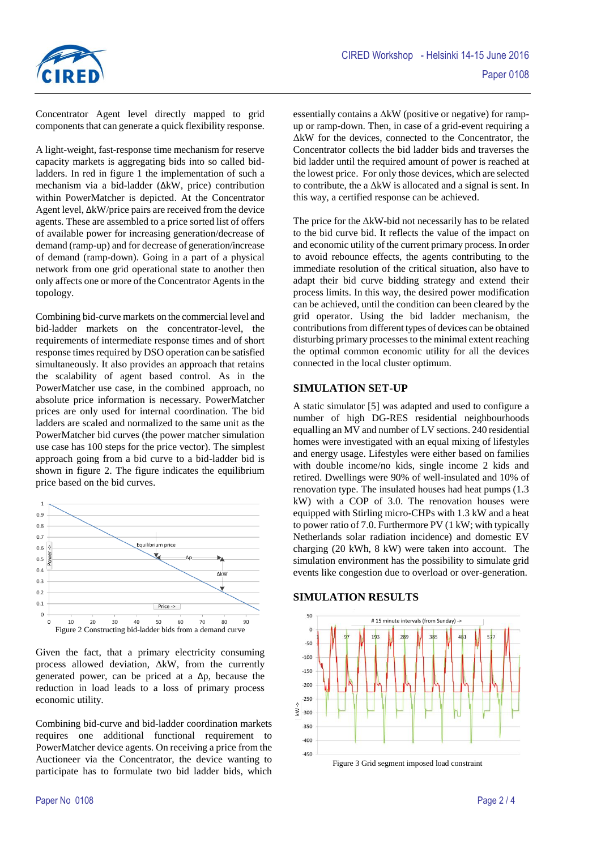

Concentrator Agent level directly mapped to grid components that can generate a quick flexibility response.

A light-weight, fast-response time mechanism for reserve capacity markets is aggregating bids into so called bidladders. In red in figure 1 the implementation of such a mechanism via a bid-ladder (ΔkW, price) contribution within PowerMatcher is depicted. At the Concentrator Agent level, ΔkW/price pairs are received from the device agents. These are assembled to a price sorted list of offers of available power for increasing generation/decrease of demand (ramp-up) and for decrease of generation/increase of demand (ramp-down). Going in a part of a physical network from one grid operational state to another then only affects one or more of the Concentrator Agents in the topology.

Combining bid-curve markets on the commercial level and bid-ladder markets on the concentrator-level, the requirements of intermediate response times and of short response times required by DSO operation can be satisfied simultaneously. It also provides an approach that retains the scalability of agent based control. As in the PowerMatcher use case, in the combined approach, no absolute price information is necessary. PowerMatcher prices are only used for internal coordination. The bid ladders are scaled and normalized to the same unit as the PowerMatcher bid curves (the power matcher simulation use case has 100 steps for the price vector). The simplest approach going from a bid curve to a bid-ladder bid is shown in figure 2. The figure indicates the equilibrium price based on the bid curves.



Given the fact, that a primary electricity consuming process allowed deviation, ΔkW, from the currently generated power, can be priced at a  $\Delta p$ , because the reduction in load leads to a loss of primary process economic utility.

Combining bid-curve and bid-ladder coordination markets requires one additional functional requirement to PowerMatcher device agents. On receiving a price from the Auctioneer via the Concentrator, the device wanting to participate has to formulate two bid ladder bids, which essentially contains a ΔkW (positive or negative) for rampup or ramp-down. Then, in case of a grid-event requiring a ΔkW for the devices, connected to the Concentrator, the Concentrator collects the bid ladder bids and traverses the bid ladder until the required amount of power is reached at the lowest price. For only those devices, which are selected to contribute, the a ΔkW is allocated and a signal is sent. In this way, a certified response can be achieved.

The price for the ΔkW-bid not necessarily has to be related to the bid curve bid. It reflects the value of the impact on and economic utility of the current primary process. In order to avoid rebounce effects, the agents contributing to the immediate resolution of the critical situation, also have to adapt their bid curve bidding strategy and extend their process limits. In this way, the desired power modification can be achieved, until the condition can been cleared by the grid operator. Using the bid ladder mechanism, the contributions from different types of devices can be obtained disturbing primary processes to the minimal extent reaching the optimal common economic utility for all the devices connected in the local cluster optimum.

#### **SIMULATION SET-UP**

A static simulator [\[5\]](#page-4-3) was adapted and used to configure a number of high DG-RES residential neighbourhoods equalling an MV and number of LV sections. 240 residential homes were investigated with an equal mixing of lifestyles and energy usage. Lifestyles were either based on families with double income/no kids, single income 2 kids and retired. Dwellings were 90% of well-insulated and 10% of renovation type. The insulated houses had heat pumps (1.3 kW) with a COP of 3.0. The renovation houses were equipped with Stirling micro-CHPs with 1.3 kW and a heat to power ratio of 7.0. Furthermore PV (1 kW; with typically Netherlands solar radiation incidence) and domestic EV charging (20 kWh, 8 kW) were taken into account. The simulation environment has the possibility to simulate grid events like congestion due to overload or over-generation.

### **SIMULATION RESULTS**



Figure 3 Grid segment imposed load constraint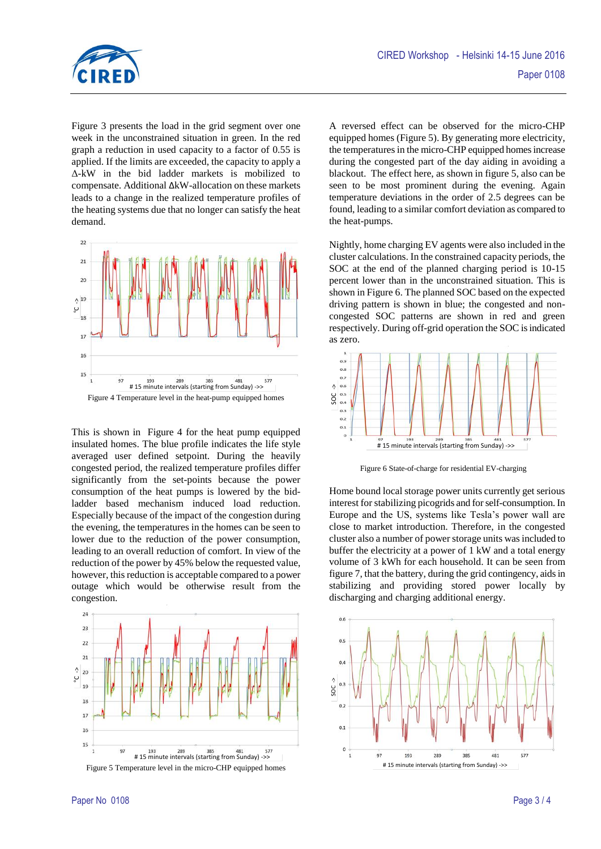

Figure 3 presents the load in the grid segment over one week in the unconstrained situation in green. In the red graph a reduction in used capacity to a factor of 0.55 is applied. If the limits are exceeded, the capacity to apply a Δ-kW in the bid ladder markets is mobilized to compensate. Additional ΔkW-allocation on these markets leads to a change in the realized temperature profiles of the heating systems due that no longer can satisfy the heat demand.



This is shown in Figure 4 for the heat pump equipped insulated homes. The blue profile indicates the life style averaged user defined setpoint. During the heavily congested period, the realized temperature profiles differ significantly from the set-points because the power consumption of the heat pumps is lowered by the bidladder based mechanism induced load reduction. Especially because of the impact of the congestion during the evening, the temperatures in the homes can be seen to lower due to the reduction of the power consumption, leading to an overall reduction of comfort. In view of the reduction of the power by 45% below the requested value, however, this reduction is acceptable compared to a power outage which would be otherwise result from the congestion.



A reversed effect can be observed for the micro-CHP equipped homes (Figure 5). By generating more electricity, the temperatures in the micro-CHP equipped homes increase during the congested part of the day aiding in avoiding a blackout. The effect here, as shown in figure 5, also can be seen to be most prominent during the evening. Again temperature deviations in the order of 2.5 degrees can be found, leading to a similar comfort deviation as compared to the heat-pumps.

Nightly, home charging EV agents were also included in the cluster calculations. In the constrained capacity periods, the SOC at the end of the planned charging period is 10-15 percent lower than in the unconstrained situation. This is shown in Figure 6. The planned SOC based on the expected driving pattern is shown in blue; the congested and noncongested SOC patterns are shown in red and green respectively. During off-grid operation the SOC is indicated as zero.



Figure 6 State-of-charge for residential EV-charging

Home bound local storage power units currently get serious interest for stabilizing picogrids and for self-consumption. In Europe and the US, systems like Tesla's power wall are close to market introduction. Therefore, in the congested cluster also a number of power storage units was included to buffer the electricity at a power of 1 kW and a total energy volume of 3 kWh for each household. It can be seen from figure 7, that the battery, during the grid contingency, aids in stabilizing and providing stored power locally by discharging and charging additional energy.